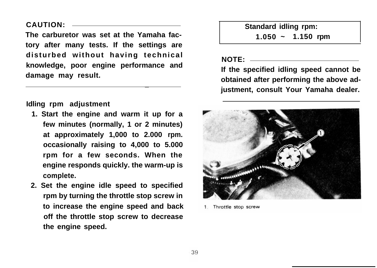## **CAUTION:**

**The carburetor was set at the Yamaha factory after many tests. If the settings are disturbed without having technical knowledge, poor engine performance and damage may result.**

**\_**

**Idling rpm adjustment**

- **1. Start the engine and warm it up for a few minutes (normally, 1 or 2 minutes) at approximately 1,000 to 2.000 rpm. occasionally raising to 4,000 to 5.000 rpm for a few seconds. When the engine responds quickly. the warm-up is complete.**
- **2. Set the engine idle speed to specified rpm by turning the throttle stop screw in to increase the engine speed and back off the throttle stop screw to decrease the engine speed.**

**Standard idling rpm:**

**1.050 ~ 1.150 rpm**

**NOTE:**

**If the specified idling speed cannot be obtained after performing the above adjustment, consult Your Yamaha dealer.**



Throttle stop screw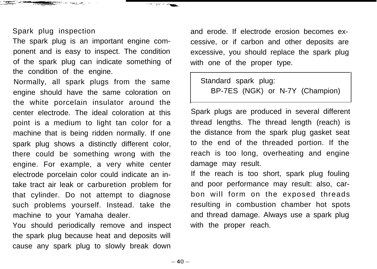## Spark plug inspection

الموارد العقوبالمسلم المالم<del>تنا للأمي</del>

The spark plug is an important engine component and is easy to inspect. The condition of the spark plug can indicate something of the condition of the engine.

Normally, all spark plugs from the same engine should have the same coloration on the white porcelain insulator around the center electrode. The ideal coloration at this point is a medium to light tan color for a machine that is being ridden normally. If one spark plug shows a distinctly different color, there could be something wrong with the engine. For example, a very white center electrode porcelain color could indicate an intake tract air leak or carburetion problem for that cylinder. Do not attempt to diagnose such problems yourself. Instead. take the machine to your Yamaha dealer.

You should periodically remove and inspect the spark plug because heat and deposits will cause any spark plug to slowly break down

and erode. If electrode erosion becomes excessive, or if carbon and other deposits are excessive, you should replace the spark plug with one of the proper type.

Standard spark plug: BP-7ES (NGK) or N-7Y (Champion)

Spark plugs are produced in several different thread lengths. The thread length (reach) is the distance from the spark plug gasket seat to the end of the threaded portion. If the reach is too long, overheating and engine damage may result.

If the reach is too short, spark plug fouling and poor performance may result: also, carbon will form on the exposed threads resulting in combustion chamber hot spots and thread damage. Always use a spark plug with the proper reach.

**The Contract of Contract**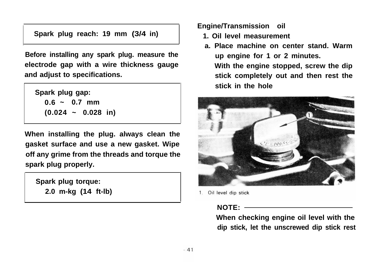**Spark plug reach: 19 mm (3/4 in)**

**Before installing any spark plug. measure the electrode gap with a wire thickness gauge and adjust to specifications.**

**Spark plug gap: 0.6 ~ 0.7 mm (0.024 ~ 0.028 in)**

**When installing the plug. always clean the gasket surface and use a new gasket. Wipe off any grime from the threads and torque the spark plug properly.**

**Spark plug torque: 2.0 m-kg (14 ft-lb)** **Engine/Transmission oil**

- **1. Oil level measurement**
- **a. Place machine on center stand. Warm up engine for 1 or 2 minutes. With the engine stopped, screw the dip**

**stick completely out and then rest the stick in the hole**



1. Oil level dip stick

## **NOTE:**

**When checking engine oil level with the dip stick, let the unscrewed dip stick rest**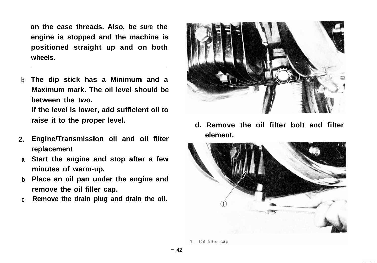**on the case threads. Also, be sure the engine is stopped and the machine is positioned straight up and on both wheels.**

- **b The dip stick has a Minimum and a Maximum mark. The oil level should be between the two. If the level is lower, add sufficient oil to raise it to the proper level.**
- **2. Engine/Transmission oil and oil filter replacement**
- **a Start the engine and stop after a few minutes of warm-up.**
- **b Place an oil pan under the engine and remove the oil filler cap.**
- **c Remove the drain plug and drain the oil.**



**d. Remove the oil filter bolt and filter element.**

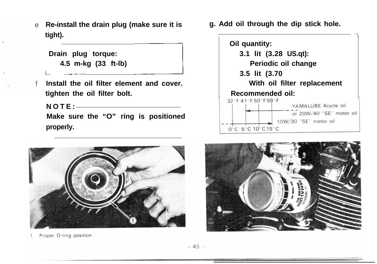**Re-install the drain plug (make sure it is tight).** tall the drain plug (make sure it is<br>
plug torque:<br>
5 m-kg (33 ft-lb)<br>
l the oil filter element and cover.

 **Drain plug torque: 4.5 m-kg (33 ft-lb)**

**1~**

**Install the oil filter element and cover. tighten the oil filter bolt.**

**NOTE: Make sure the "O" ring is positioned properly.**



Proper O-ring position

**g. Add oil through the dip stick hole.**



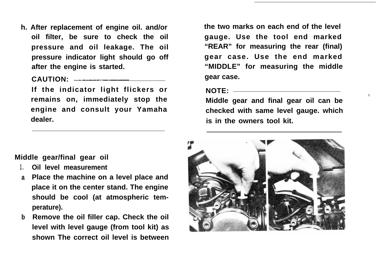**h. After replacement of engine oil. and/or oil filter, be sure to check the oil pressure and oil leakage. The oil pressure indicator light should go off after the engine is started.**

**CAUTION: ~---.--~**

**If the indicator light flickers or remains on, immediately stop the engine and consult your Yamaha dealer.**

**the two marks on each end of the level gauge. Use the tool end marked "REAR" for measuring the rear (final) gear case. Use the end marked "MIDDLE" for measuring the middle gear case.**

**NOTE:**

**Middle gear and final gear oil can be checked with same level gauge. which is in the owners tool kit.**

**Middle gear/final gear oil**

- **1. Oil level measurement**
- **a Place the machine on a level place and place it on the center stand. The engine should be cool (at atmospheric temperature).**
- **b Remove the oil filler cap. Check the oil level with level gauge (from tool kit) as shown The correct oil level is between**